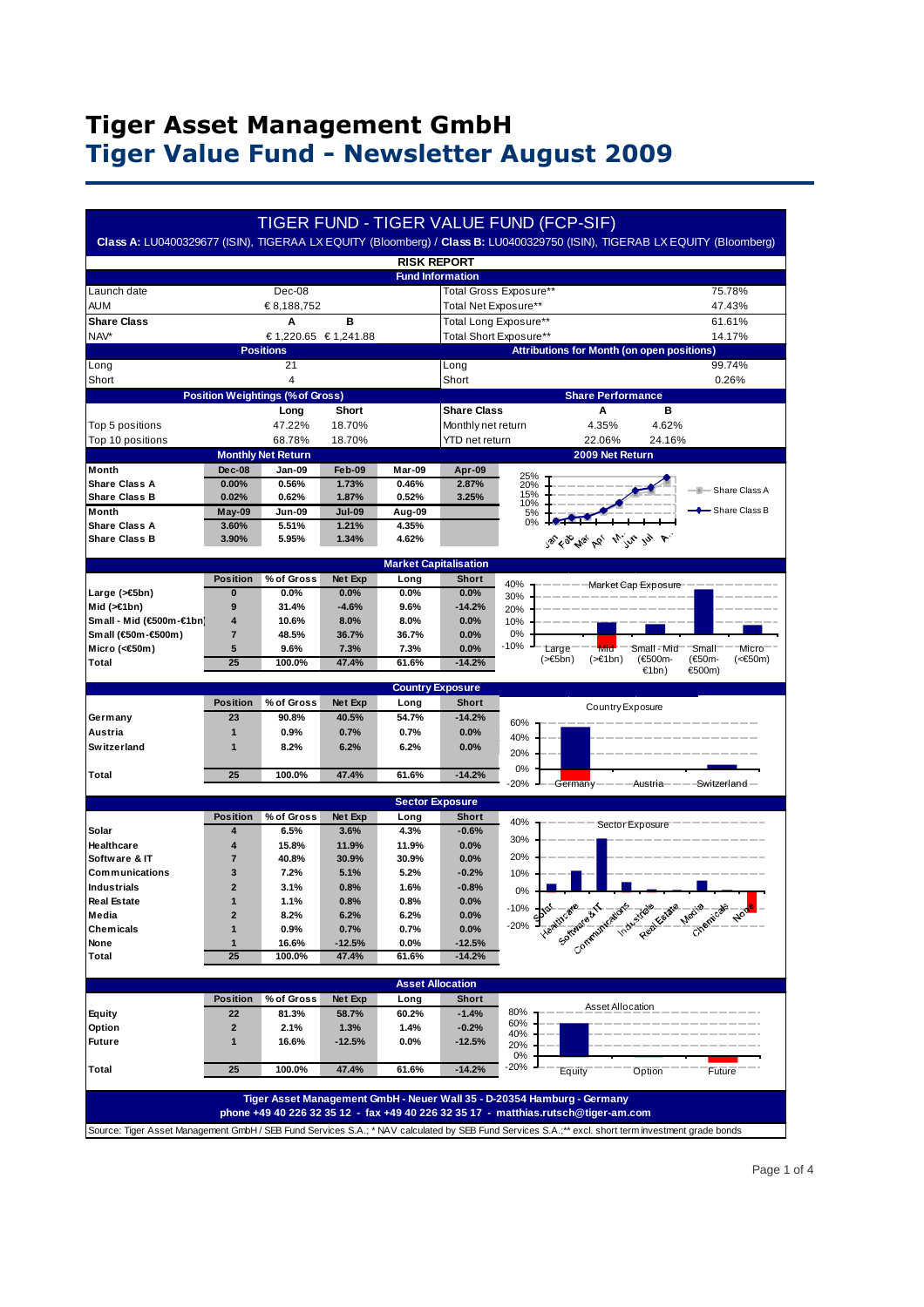# **Tiger Asset Management GmbH Tiger Value Fund - Newsletter August 2009**

|                                              |                              |                                                 |                  |                              |                         | <b>TIGER FUND - TIGER VALUE FUND (FCP-SIF)</b>                                                                                                                                                                                            |
|----------------------------------------------|------------------------------|-------------------------------------------------|------------------|------------------------------|-------------------------|-------------------------------------------------------------------------------------------------------------------------------------------------------------------------------------------------------------------------------------------|
|                                              |                              |                                                 |                  |                              |                         | Class A: LU0400329677 (ISIN), TIGERAA LX EQUITY (Bloomberg) / Class B: LU0400329750 (ISIN), TIGERAB LX EQUITY (Bloomberg)                                                                                                                 |
|                                              |                              |                                                 |                  | <b>RISK REPORT</b>           | <b>Fund Information</b> |                                                                                                                                                                                                                                           |
| Launch date                                  |                              | Dec-08                                          |                  |                              |                         | Total Gross Exposure**<br>75.78%                                                                                                                                                                                                          |
| aum                                          |                              | € 8,188,752                                     |                  |                              | Total Net Exposure**    | 47.43%                                                                                                                                                                                                                                    |
| <b>Share Class</b>                           |                              | A                                               | в                |                              | Total Long Exposure**   | 61.61%                                                                                                                                                                                                                                    |
| NAV*                                         |                              | € 1,220.65 € 1,241.88                           |                  |                              |                         | Total Short Exposure**<br>14.17%                                                                                                                                                                                                          |
|                                              |                              | <b>Positions</b>                                |                  |                              |                         | <b>Attributions for Month (on open positions)</b>                                                                                                                                                                                         |
| Long                                         |                              | 21                                              |                  |                              | Long                    | 99.74%                                                                                                                                                                                                                                    |
| Short                                        |                              | $\overline{\mathbf{4}}$                         |                  |                              | Short                   | 0.26%                                                                                                                                                                                                                                     |
|                                              |                              | <b>Position Weightings (% of Gross)</b><br>Long | Short            |                              | <b>Share Class</b>      | <b>Share Performance</b><br>в<br>Α                                                                                                                                                                                                        |
| Top 5 positions                              |                              | 47.22%                                          | 18.70%           |                              | Monthly net return      | 4.35%<br>4.62%                                                                                                                                                                                                                            |
| Top 10 positions                             |                              | 68.78%                                          | 18.70%           |                              | YTD net return          | 22.06%<br>24.16%                                                                                                                                                                                                                          |
|                                              |                              | <b>Monthly Net Return</b>                       |                  |                              |                         | 2009 Net Return                                                                                                                                                                                                                           |
| Month                                        | Dec-08                       | Jan-09                                          | Feb-09           | Mar-09                       | Apr-09                  | 25%                                                                                                                                                                                                                                       |
| <b>Share Class A</b>                         | 0.00%                        | 0.56%                                           | 1.73%            | 0.46%                        | 2.87%                   | 20%<br><b>E</b> -Share Class A                                                                                                                                                                                                            |
| <b>Share Class B</b>                         | 0.02%                        | 0.62%                                           | 1.87%            | 0.52%                        | 3.25%                   | 15%<br>10%                                                                                                                                                                                                                                |
| <b>Month</b>                                 | May-09                       | Jun-09                                          | <b>Jul-09</b>    | Aug-09                       |                         | - Share Class B<br>5%<br>0%                                                                                                                                                                                                               |
| <b>Share Class A</b><br><b>Share Class B</b> | 3.60%<br>3.90%               | 5.51%<br>5.95%                                  | 1.21%<br>1.34%   | 4.35%<br>4.62%               |                         | 25 6 26 26 26 11 12 12 4                                                                                                                                                                                                                  |
|                                              |                              |                                                 |                  |                              |                         |                                                                                                                                                                                                                                           |
|                                              |                              |                                                 |                  | <b>Market Capitalisation</b> |                         |                                                                                                                                                                                                                                           |
|                                              | <b>Position</b>              | % of Gross                                      | Net Exp          | Long                         | <b>Short</b>            | 40%<br>Market Cap Exposure                                                                                                                                                                                                                |
| Large (>€5bn)<br>Mid $(>=1bn)$               | 0<br>9                       | 0.0%<br>31.4%                                   | 0.0%<br>$-4.6%$  | 0.0%<br>9.6%                 | 0.0%<br>$-14.2%$        | 30%                                                                                                                                                                                                                                       |
| Small - Mid (€500m-€1br                      | 4                            | 10.6%                                           | 8.0%             | 8.0%                         | 0.0%                    | 20%<br>10%                                                                                                                                                                                                                                |
| Small (€50m-€500m)                           | $\overline{7}$               | 48.5%                                           | 36.7%            | 36.7%                        | 0.0%                    | 0%                                                                                                                                                                                                                                        |
| Micro (<€50m)                                | 5                            | 9.6%                                            | 7.3%             | 7.3%                         | 0.0%                    | $-10%$<br>Large<br>Small - Mid<br>Small<br>Micro<br>Mid                                                                                                                                                                                   |
| Total                                        | 25                           | 100.0%                                          | 47.4%            | 61.6%                        | $-14.2%$                | (€50m-<br>$($ > €5bn)<br>$(>=1bn)$<br>(€500m-<br>$(60m)$<br>€1bn)<br>€500m)                                                                                                                                                               |
|                                              |                              |                                                 |                  | <b>Country Exposure</b>      |                         |                                                                                                                                                                                                                                           |
|                                              | <b>Position</b>              | % of Gross                                      | Net Exp          | Long                         | <b>Short</b>            |                                                                                                                                                                                                                                           |
| Germany                                      |                              |                                                 |                  |                              |                         | Country Exposure                                                                                                                                                                                                                          |
|                                              | 23                           |                                                 |                  |                              |                         |                                                                                                                                                                                                                                           |
| Austria                                      | $\overline{1}$               | 90.8%<br>$0.9\%$                                | 40.5%<br>0.7%    | 54.7%<br>0.7%                | $-14.2%$<br>0.0%        | 60%                                                                                                                                                                                                                                       |
| Switzerland                                  | 1                            | 8.2%                                            | 6.2%             | 6.2%                         | 0.0%                    | 40%                                                                                                                                                                                                                                       |
|                                              |                              |                                                 |                  |                              |                         | 20%                                                                                                                                                                                                                                       |
| Total                                        | 25                           | 100.0%                                          | 47.4%            | 61.6%                        | $-14.2%$                | 0%                                                                                                                                                                                                                                        |
|                                              |                              |                                                 |                  |                              |                         | $-20%$<br>Germany<br>-Austria———<br>-Switzerland                                                                                                                                                                                          |
|                                              |                              |                                                 |                  | <b>Sector Exposure</b>       |                         |                                                                                                                                                                                                                                           |
| Solar                                        | <b>Position</b><br>4         | % of Gross<br>6.5%                              | Net Exp<br>3.6%  | Long<br>4.3%                 | <b>Short</b><br>$-0.6%$ | 40%<br>Sector Exposure                                                                                                                                                                                                                    |
| Healthcare                                   | 4                            | 15.8%                                           | 11.9%            | 11.9%                        | 0.0%                    | 30%                                                                                                                                                                                                                                       |
| Software & IT                                | $\overline{7}$               | 40.8%                                           | 30.9%            | 30.9%                        | 0.0%                    | 20%                                                                                                                                                                                                                                       |
| Communications                               | 3                            | 7.2%                                            | 5.1%             | 5.2%                         | $-0.2%$                 | 10%                                                                                                                                                                                                                                       |
| Industrials                                  | $\overline{2}$               | 3.1%                                            | 0.8%             | 1.6%                         | $-0.8%$                 | 0%                                                                                                                                                                                                                                        |
| <b>Real Estate</b>                           | 1                            | 1.1%                                            | 0.8%             | 0.8%                         | 0.0%                    | $-10%$                                                                                                                                                                                                                                    |
| Media                                        | $\overline{\mathbf{2}}$      | 8.2%                                            | 6.2%             | 6.2%                         | 0.0%                    | $-20%$                                                                                                                                                                                                                                    |
| Chemicals<br>None                            | 1<br>1                       | 0.9%<br>16.6%                                   | 0.7%<br>$-12.5%$ | 0.7%<br>0.0%                 | 0.0%<br>$-12.5%$        |                                                                                                                                                                                                                                           |
| Total                                        | 25                           | 100.0%                                          | 47.4%            | 61.6%                        | $-14.2%$                | Vestigation of the state case of the contract of the contract of                                                                                                                                                                          |
|                                              |                              |                                                 |                  |                              |                         |                                                                                                                                                                                                                                           |
|                                              |                              |                                                 |                  |                              | <b>Asset Allocation</b> |                                                                                                                                                                                                                                           |
|                                              | <b>Position</b>              | % of Gross                                      | Net Exp          | Long                         | <b>Short</b>            | <b>Asset Allocation</b>                                                                                                                                                                                                                   |
| Equity                                       | 22                           | 81.3%                                           | 58.7%            | 60.2%                        | $-1.4%$                 | 80%<br>60%                                                                                                                                                                                                                                |
| Option                                       | $\overline{\mathbf{2}}$<br>1 | 2.1%                                            | 1.3%             | 1.4%                         | $-0.2%$                 | 40%                                                                                                                                                                                                                                       |
| Future                                       |                              | 16.6%                                           | -12.5%           | $0.0\%$                      | -12.5%                  | 20%<br>0%                                                                                                                                                                                                                                 |
| Total                                        | 25                           | 100.0%                                          | 47.4%            | 61.6%                        | $-14.2%$                | $-20%$<br>Equity<br>Option<br>Future                                                                                                                                                                                                      |
|                                              |                              |                                                 |                  |                              |                         |                                                                                                                                                                                                                                           |
|                                              |                              |                                                 |                  |                              |                         | Tiger Asset Management GmbH - Neuer Wall 35 - D-20354 Hamburg - Germany                                                                                                                                                                   |
|                                              |                              |                                                 |                  |                              |                         | phone +49 40 226 32 35 12 - fax +49 40 226 32 35 17 - matthias.rutsch@tiger-am.com<br>Source: Tiger Asset Management GmbH / SEB Fund Services S.A.; * NAV calculated by SEB Fund Services S.A.;** excl. short term investment grade bonds |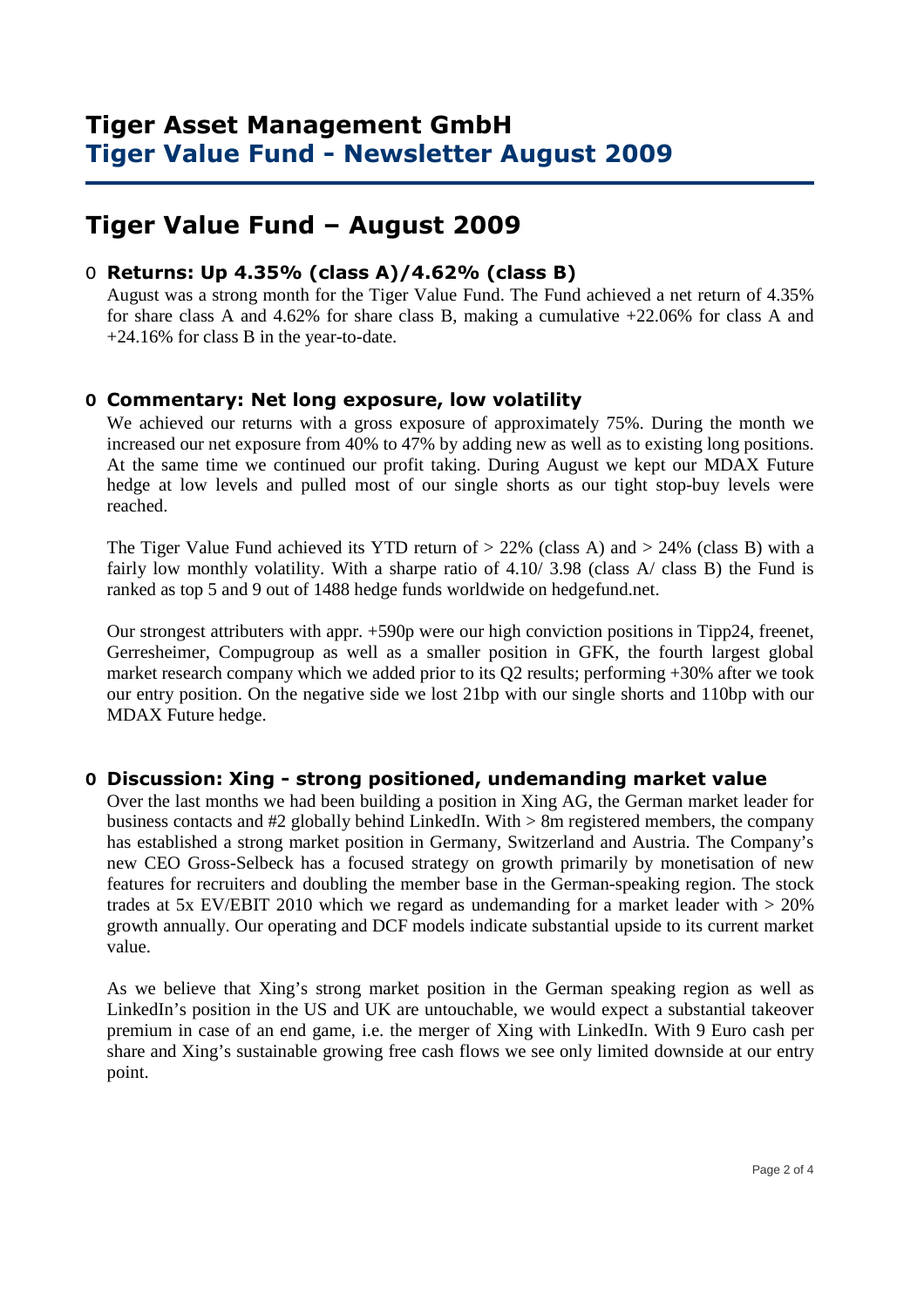# **Tiger Value Fund – August 2009**

### O **Returns: Up 4.35% (class A)/4.62% (class B)**

 August was a strong month for the Tiger Value Fund. The Fund achieved a net return of 4.35% for share class A and 4.62% for share class B, making a cumulative +22.06% for class A and +24.16% for class B in the year-to-date.

### **O Commentary: Net long exposure, low volatility**

We achieved our returns with a gross exposure of approximately 75%. During the month we increased our net exposure from 40% to 47% by adding new as well as to existing long positions. At the same time we continued our profit taking. During August we kept our MDAX Future hedge at low levels and pulled most of our single shorts as our tight stop-buy levels were reached.

The Tiger Value Fund achieved its YTD return of  $> 22\%$  (class A) and  $> 24\%$  (class B) with a fairly low monthly volatility. With a sharpe ratio of 4.10/3.98 (class A/ class B) the Fund is ranked as top 5 and 9 out of 1488 hedge funds worldwide on hedgefund.net.

Our strongest attributers with appr. +590p were our high conviction positions in Tipp24, freenet, Gerresheimer, Compugroup as well as a smaller position in GFK, the fourth largest global market research company which we added prior to its Q2 results; performing +30% after we took our entry position. On the negative side we lost 21bp with our single shorts and 110bp with our MDAX Future hedge.

#### **O Discussion: Xing - strong positioned, undemanding market value**

Over the last months we had been building a position in Xing AG, the German market leader for business contacts and #2 globally behind LinkedIn. With > 8m registered members, the company has established a strong market position in Germany, Switzerland and Austria. The Company's new CEO Gross-Selbeck has a focused strategy on growth primarily by monetisation of new features for recruiters and doubling the member base in the German-speaking region. The stock trades at 5x EV/EBIT 2010 which we regard as undemanding for a market leader with  $> 20\%$ growth annually. Our operating and DCF models indicate substantial upside to its current market value.

As we believe that Xing's strong market position in the German speaking region as well as LinkedIn's position in the US and UK are untouchable, we would expect a substantial takeover premium in case of an end game, i.e. the merger of Xing with LinkedIn. With 9 Euro cash per share and Xing's sustainable growing free cash flows we see only limited downside at our entry point.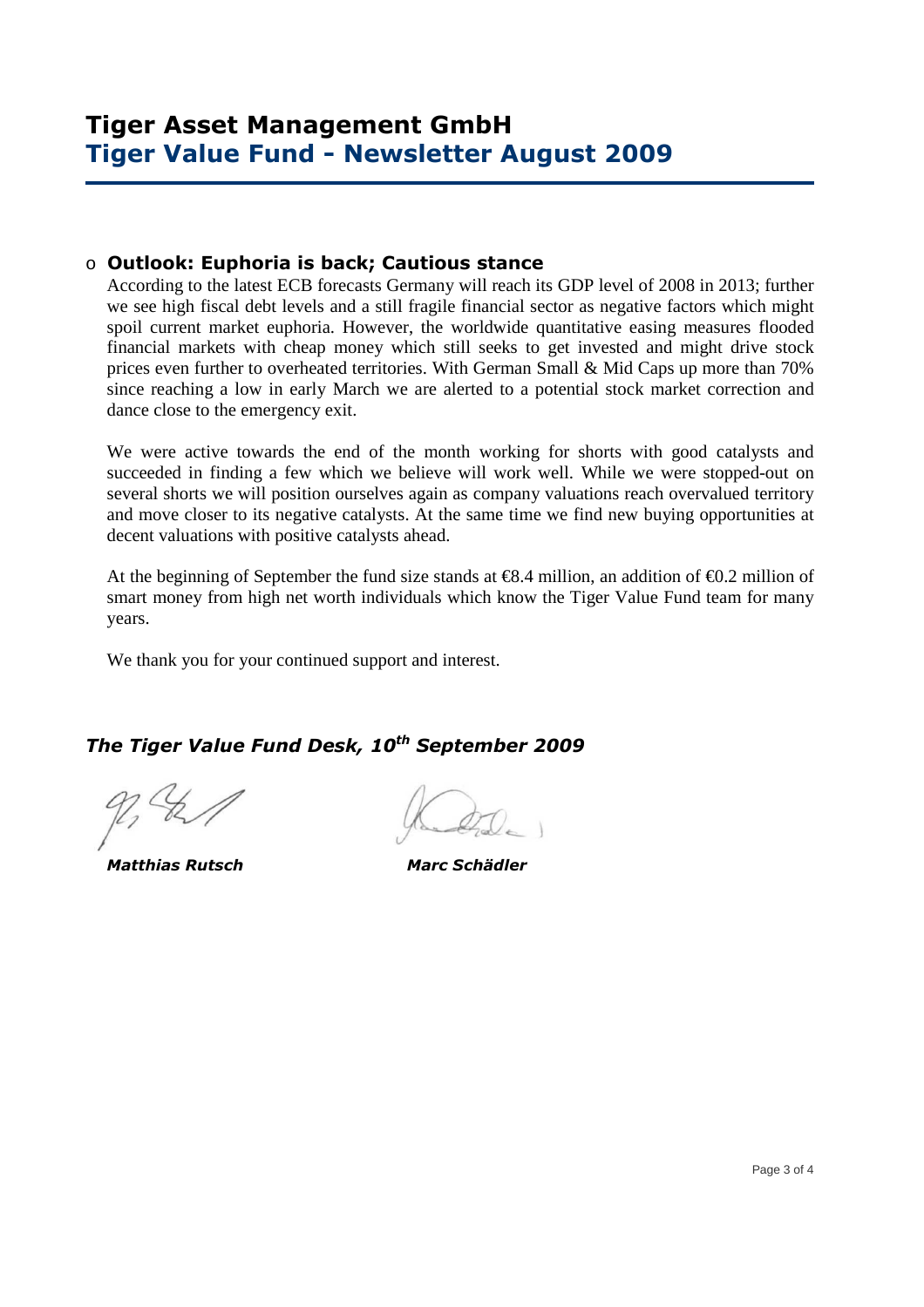### o **Outlook: Euphoria is back; Cautious stance**

According to the latest ECB forecasts Germany will reach its GDP level of 2008 in 2013; further we see high fiscal debt levels and a still fragile financial sector as negative factors which might spoil current market euphoria. However, the worldwide quantitative easing measures flooded financial markets with cheap money which still seeks to get invested and might drive stock prices even further to overheated territories. With German Small & Mid Caps up more than 70% since reaching a low in early March we are alerted to a potential stock market correction and dance close to the emergency exit.

We were active towards the end of the month working for shorts with good catalysts and succeeded in finding a few which we believe will work well. While we were stopped-out on several shorts we will position ourselves again as company valuations reach overvalued territory and move closer to its negative catalysts. At the same time we find new buying opportunities at decent valuations with positive catalysts ahead.

At the beginning of September the fund size stands at  $\epsilon$ 8.4 million, an addition of  $\epsilon$ 0.2 million of smart money from high net worth individuals which know the Tiger Value Fund team for many years.

We thank you for your continued support and interest.

## *The Tiger Value Fund Desk, 10th September 2009*

 *Matthias Rutsch Marc Schädler*